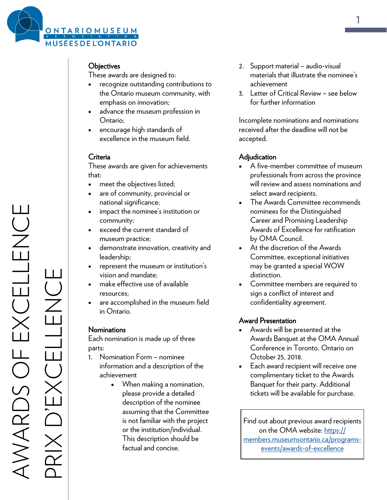

## **Objectives**

These awards are designed to:

- recognize outstanding contributions to the Ontario museum community, with emphasis on innovation;
- advance the museum profession in Ontario;
- encourage high standards of excellence in the museum field.

#### Criteria

These awards are given for achievements that:

- meet the objectives listed;
- are of community, provincial or national significance;
- impact the nominee's institution or community;
- exceed the current standard of museum practice;
- demonstrate innovation, creativity and leadership;
- represent the museum or institution's vision and mandate;
- make effective use of available resources;
- are accomplished in the museum field in Ontario.

#### **Nominations**

Each nomination is made up of three parts:

- 1. Nomination Form nominee information and a description of the achievement
	- When making a nomination, please provide a detailed description of the nominee assuming that the Committee is not familiar with the project or the institution/individual. This description should be factual and concise.
- 2. Support material audio-visual materials that illustrate the nominee's achievement
- 3. Letter of Critical Review see below for further information

Incomplete nominations and nominations received after the deadline will not be accepted.

#### **Adjudication**

- A five-member committee of museum professionals from across the province will review and assess nominations and select award recipients.
- The Awards Committee recommends nominees for the Distinguished Career and Promising Leadership Awards of Excellence for ratification by OMA Council.
- At the discretion of the Awards Committee, exceptional initiatives may be granted a special WOW distinction.
- Committee members are required to sign a conflict of interest and confidentiality agreement.

#### Award Presentation

- Awards will be presented at the Awards Banquet at the OMA Annual Conference in Toronto, Ontario on October 25, 2018.
- Each award recipient will receive one complimentary ticket to the Awards Banquet for their party. Additional tickets will be available for purchase.

Find out about previous award recipients on the OMA website: [https://](https://members.museumsontario.ca/programs-events/awards-of-excellence) [members.museumsontario.ca/programs](https://members.museumsontario.ca/programs-events/awards-of-excellence)[events/awards](https://members.museumsontario.ca/programs-events/awards-of-excellence)-of-excellence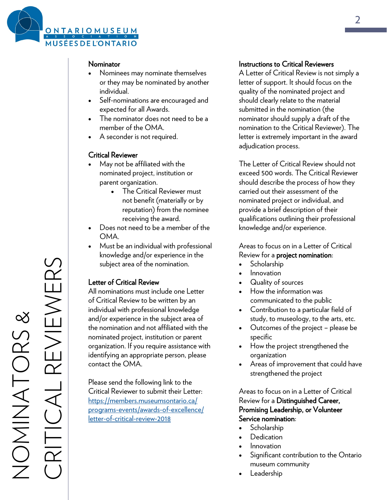

#### Nominator

- Nominees may nominate themselves or they may be nominated by another individual.
- Self-nominations are encouraged and expected for all Awards.
- The nominator does not need to be a member of the OMA.
- A seconder is not required.

#### Critical Reviewer

- May not be affiliated with the nominated project, institution or parent organization.
	- The Critical Reviewer must not benefit (materially or by reputation) from the nominee receiving the award.
- Does not need to be a member of the OMA.
- Must be an individual with professional knowledge and/or experience in the subject area of the nomination.

#### Letter of Critical Review

All nominations must include one Letter of Critical Review to be written by an individual with professional knowledge and/or experience in the subject area of the nomination and not affiliated with the nominated project, institution or parent organization. If you require assistance with identifying an appropriate person, please contact the OMA.

Please send the following link to the Critical Reviewer to submit their Letter: [https://members.museumsontario.ca/](https://members.museumsontario.ca/programs-events/awards-of-excellence/letter-of-critical-review-2018) programs-[events/awards](https://members.museumsontario.ca/programs-events/awards-of-excellence/letter-of-critical-review-2018)-of-excellence/ letter-of-[critical](https://members.museumsontario.ca/programs-events/awards-of-excellence/letter-of-critical-review-2018)-review-2018

#### Instructions to Critical Reviewers

A Letter of Critical Review is not simply a letter of support. It should focus on the quality of the nominated project and should clearly relate to the material submitted in the nomination (the nominator should supply a draft of the nomination to the Critical Reviewer). The letter is extremely important in the award adjudication process.

The Letter of Critical Review should not exceed 500 words. The Critical Reviewer should describe the process of how they carried out their assessment of the nominated project or individual, and provide a brief description of their qualifications outlining their professional knowledge and/or experience.

Areas to focus on in a Letter of Critical Review for a project nomination:

- **Scholarship**
- Innovation
- Quality of sources
- How the information was communicated to the public
- Contribution to a particular field of study, to museology, to the arts, etc.
- Outcomes of the project please be specific
- How the project strengthened the organization
- Areas of improvement that could have strengthened the project

Areas to focus on in a Letter of Critical Review for a Distinguished Career, Promising Leadership, or Volunteer Service nomination:

- Scholarship
- **Dedication**
- Innovation
- Significant contribution to the Ontario museum community
- Leadership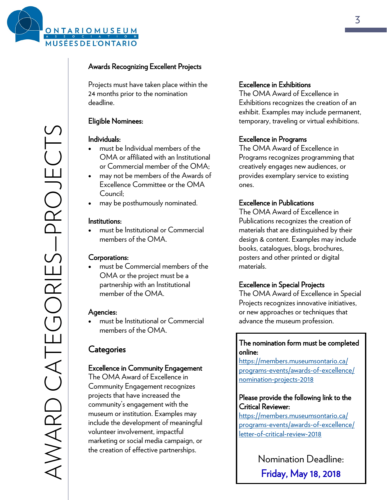

## Awards Recognizing Excellent Projects

Projects must have taken place within the 24 months prior to the nomination deadline.

## Eligible Nominees:

#### Individuals:

- must be Individual members of the OMA or affiliated with an Institutional or Commercial member of the OMA;
- may not be members of the Awards of Excellence Committee or the OMA Council;
- may be posthumously nominated.

#### Institutions:

 must be Institutional or Commercial members of the OMA.

#### Corporations:

 must be Commercial members of the OMA or the project must be a partnership with an Institutional member of the OMA.

#### Agencies:

 must be Institutional or Commercial members of the OMA.

# **Categories**

## Excellence in Community Engagement

The OMA Award of Excellence in Community Engagement recognizes projects that have increased the community's engagement with the museum or institution. Examples may include the development of meaningful volunteer involvement, impactful marketing or social media campaign, or the creation of effective partnerships.

#### Excellence in Exhibitions

The OMA Award of Excellence in Exhibitions recognizes the creation of an exhibit. Examples may include permanent, temporary, traveling or virtual exhibitions.

#### Excellence in Programs

The OMA Award of Excellence in Programs recognizes programming that creatively engages new audiences, or provides exemplary service to existing ones.

#### Excellence in Publications

The OMA Award of Excellence in Publications recognizes the creation of materials that are distinguished by their design & content. Examples may include books, catalogues, blogs, brochures, posters and other printed or digital materials.

#### Excellence in Special Projects

The OMA Award of Excellence in Special Projects recognizes innovative initiatives, or new approaches or techniques that advance the museum profession.

## The nomination form must be completed online:

[https://members.museumsontario.ca/](https://members.museumsontario.ca/programs-events/awards-of-excellence/nomination-projects-2018) programs-[events/awards](https://members.museumsontario.ca/programs-events/awards-of-excellence/nomination-projects-2018)-of-excellence/ [nomination](https://members.museumsontario.ca/programs-events/awards-of-excellence/nomination-projects-2018)-projects-2018

#### Please provide the following link to the Critical Reviewer:

[https://members.museumsontario.ca/](https://members.museumsontario.ca/programs-events/awards-of-excellence/letter-of-critical-review-2018) programs-[events/awards](https://members.museumsontario.ca/programs-events/awards-of-excellence/letter-of-critical-review-2018)-of-excellence/ letter-of-[critical](https://members.museumsontario.ca/programs-events/awards-of-excellence/letter-of-critical-review-2018)-review-2018

> Nomination Deadline: Friday, May 18, 2018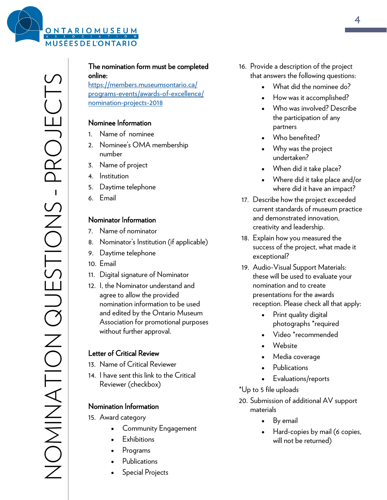

# The nomination form must be completed online:

[https://members.museumsontario.ca/](https://members.museumsontario.ca/programs-events/awards-of-excellence/nomination-projects-2018) programs-[events/awards](https://members.museumsontario.ca/programs-events/awards-of-excellence/nomination-projects-2018)-of-excellence/ [nomination](https://members.museumsontario.ca/programs-events/awards-of-excellence/nomination-projects-2018)-projects-2018

## Nominee Information

- 1. Name of nominee
- 2. Nominee's OMA membership number
- 3. Name of project
- 4. Institution
- 5. Daytime telephone
- 6. Email

#### Nominator Information

- 7. Name of nominator
- 8. Nominator's Institution (if applicable)
- 9. Daytime telephone
- 10. Email
- 11. Digital signature of Nominator
- 12. I, the Nominator understand and agree to allow the provided nomination information to be used and edited by the Ontario Museum Association for promotional purposes without further approval.

## Letter of Critical Review

- 13. Name of Critical Reviewer
- 14. I have sent this link to the Critical Reviewer (checkbox)

## Nomination Information

- 15. Award category
	- Community Engagement
	- **Exhibitions**
	- Programs
	- Publications
	- Special Projects
- 16. Provide a description of the project that answers the following questions:
	- What did the nominee do?
	- How was it accomplished?
	- Who was involved? Describe the participation of any partners
	- Who benefited?
	- Why was the project undertaken?
	- When did it take place?
	- Where did it take place and/or where did it have an impact?
- 17. Describe how the project exceeded current standards of museum practice and demonstrated innovation, creativity and leadership.
- 18. Explain how you measured the success of the project, what made it exceptional?
- 19. Audio-Visual Support Materials: these will be used to evaluate your nomination and to create presentations for the awards reception. Please check all that apply:
	- Print quality digital photographs \*required
	- Video \*recommended
	- Website
	- Media coverage
	- **Publications**
	- Evaluations/reports
- \*Up to 5 file uploads
- 20. Submission of additional AV support materials
	- By email
	- Hard-copies by mail (6 copies, will not be returned)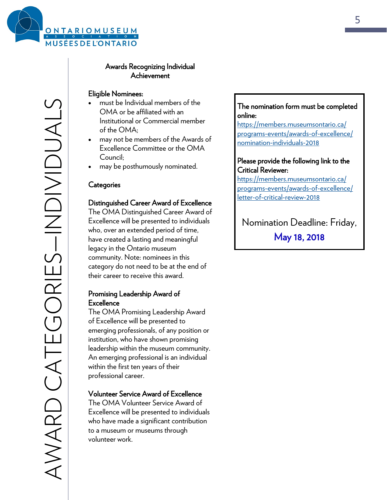

#### Eligible Nominees:

- must be Individual members of the OMA or be affiliated with an Institutional or Commercial member of the OMA;
- may not be members of the Awards of Excellence Committee or the OMA Council;
- may be posthumously nominated.

#### **Categories**

#### Distinguished Career Award of Excellence

The OMA Distinguished Career Award of Excellence will be presented to individuals who, over an extended period of time, have created a lasting and meaningful legacy in the Ontario museum community. Note: nominees in this category do not need to be at the end of their career to receive this award.

#### Promising Leadership Award of **Excellence**

The OMA Promising Leadership Award of Excellence will be presented to emerging professionals, of any position or institution, who have shown promising leadership within the museum community. An emerging professional is an individual within the first ten years of their professional career.

#### Volunteer Service Award of Excellence

The OMA Volunteer Service Award of Excellence will be presented to individuals who have made a significant contribution to a museum or museums through volunteer work.

#### The nomination form must be completed online:

[https://members.museumsontario.ca/](https://members.museumsontario.ca/programs-events/awards-of-excellence/nomination-individuals-2018) programs-[events/awards](https://members.museumsontario.ca/programs-events/awards-of-excellence/nomination-individuals-2018)-of-excellence/ [nomination](https://members.museumsontario.ca/programs-events/awards-of-excellence/nomination-individuals-2018)-individuals-2018

#### Please provide the following link to the Critical Reviewer:

[https://members.museumsontario.ca/](https://members.museumsontario.ca/programs-events/awards-of-excellence/letter-of-critical-review-2018) programs-[events/awards](https://members.museumsontario.ca/programs-events/awards-of-excellence/letter-of-critical-review-2018)-of-excellence/ letter-of-[critical](https://members.museumsontario.ca/programs-events/awards-of-excellence/letter-of-critical-review-2018)-review-2018

Nomination Deadline: Friday, May 18, 2018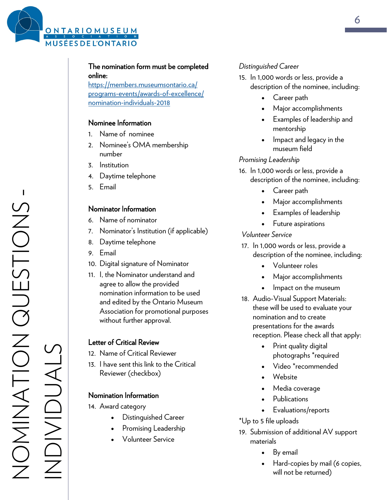

## The nomination form must be completed online:

[https://members.museumsontario.ca/](https://members.museumsontario.ca/programs-events/awards-of-excellence/nomination-individuals-2018) programs-[events/awards](https://members.museumsontario.ca/programs-events/awards-of-excellence/nomination-individuals-2018)-of-excellence/ [nomination](https://members.museumsontario.ca/programs-events/awards-of-excellence/nomination-individuals-2018)-individuals-2018

#### Nominee Information

- 1. Name of nominee
- 2. Nominee's OMA membership number
- 3. Institution
- 4. Daytime telephone
- 5. Email

#### Nominator Information

- 6. Name of nominator
- 7. Nominator's Institution (if applicable)
- 8. Daytime telephone
- 9. Email
- 10. Digital signature of Nominator
- 11. I, the Nominator understand and agree to allow the provided nomination information to be used and edited by the Ontario Museum Association for promotional purposes without further approval.

#### Letter of Critical Review

- 12. Name of Critical Reviewer
- 13. I have sent this link to the Critical Reviewer (checkbox)

## Nomination Information

- 14. Award category
	- Distinguished Career
	- Promising Leadership
	- Volunteer Service

## *Distinguished Career*

- 15. In 1,000 words or less, provide a description of the nominee, including:
	- Career path
	- Major accomplishments
	- Examples of leadership and mentorship
	- Impact and legacy in the museum field

#### *Promising Leadership*

- 16. In 1,000 words or less, provide a description of the nominee, including:
	- Career path
	- Major accomplishments
	- Examples of leadership
	- Future aspirations

#### *Volunteer Service*

- 17. In 1,000 words or less, provide a description of the nominee, including:
	- Volunteer roles
	- Major accomplishments
	- Impact on the museum
- 18. Audio-Visual Support Materials: these will be used to evaluate your nomination and to create presentations for the awards reception. Please check all that apply:
	- Print quality digital photographs \*required
	- Video \*recommended
	- Website
	- Media coverage
	- Publications
	- Evaluations/reports
- \*Up to 5 file uploads
- 19. Submission of additional AV support materials
	- By email
	- Hard-copies by mail (6 copies, will not be returned)

INDIVIDUALS